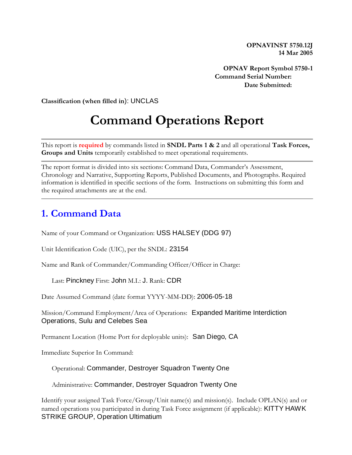**OPNAVINST 5750.12J 14 Mar 2005**

**OPNAV Report Symbol 5750-1 Command Serial Number: Date Submitted:** 

**Classification (when filled in**): UNCLAS

# **Command Operations Report**

This report is **required** by commands listed in **SNDL Parts 1 & 2** and all operational **Task Forces, Groups and Units** temporarily established to meet operational requirements.

The report format is divided into six sections: Command Data, Commander's Assessment, Chronology and Narrative, Supporting Reports, Published Documents, and Photographs. Required information is identified in specific sections of the form. Instructions on submitting this form and the required attachments are at the end.

#### **1. Command Data**

Name of your Command or Organization: USS HALSEY (DDG 97)

Unit Identification Code (UIC), per the SNDL: 23154

Name and Rank of Commander/Commanding Officer/Officer in Charge:

Last: Pinckney First: John M.I.: J. Rank: CDR

Date Assumed Command (date format YYYY-MM-DD): 2006-05-18

Mission/Command Employment/Area of Operations: Expanded Maritime Interdiction Operations, Sulu and Celebes Sea

Permanent Location (Home Port for deployable units): San Diego, CA

Immediate Superior In Command:

Operational: Commander, Destroyer Squadron Twenty One

Administrative: Commander, Destroyer Squadron Twenty One

Identify your assigned Task Force/Group/Unit name(s) and mission(s). Include OPLAN(s) and or named operations you participated in during Task Force assignment (if applicable): KITTY HAWK STRIKE GROUP, Operation Ultimatium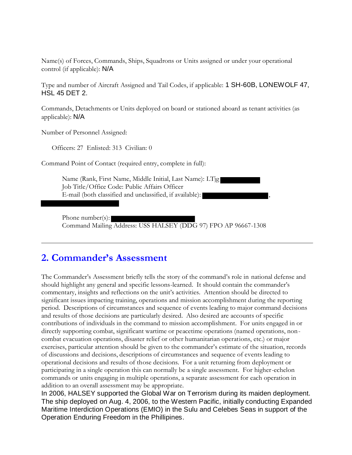Name(s) of Forces, Commands, Ships, Squadrons or Units assigned or under your operational control (if applicable): N/A

Type and number of Aircraft Assigned and Tail Codes, if applicable: 1 SH-60B, LONEWOLF 47, HSL 45 DET 2.

Commands, Detachments or Units deployed on board or stationed aboard as tenant activities (as applicable): N/A

Number of Personnel Assigned:

Officers: 27 Enlisted: 313 Civilian: 0

Command Point of Contact (required entry, complete in full):

Name (Rank, First Name, Middle Initial, Last Name): LTjg Job Title/Office Code: Public Affairs Officer E-mail (both classified and unclassified, if available):

Phone number(s): Command Mailing Address: USS HALSEY (DDG 97) FPO AP 96667-1308

### **2. Commander's Assessment**

The Commander's Assessment briefly tells the story of the command's role in national defense and should highlight any general and specific lessons-learned. It should contain the commander's commentary, insights and reflections on the unit's activities. Attention should be directed to significant issues impacting training, operations and mission accomplishment during the reporting period. Descriptions of circumstances and sequence of events leading to major command decisions and results of those decisions are particularly desired. Also desired are accounts of specific contributions of individuals in the command to mission accomplishment. For units engaged in or directly supporting combat, significant wartime or peacetime operations (named operations, noncombat evacuation operations, disaster relief or other humanitarian operations, etc.) or major exercises, particular attention should be given to the commander's estimate of the situation, records of discussions and decisions, descriptions of circumstances and sequence of events leading to operational decisions and results of those decisions. For a unit returning from deployment or participating in a single operation this can normally be a single assessment. For higher-echelon commands or units engaging in multiple operations, a separate assessment for each operation in addition to an overall assessment may be appropriate.

In 2006, HALSEY supported the Global War on Terrorism during its maiden deployment. The ship deployed on Aug. 4, 2006, to the Western Pacific, initially conducting Expanded Maritime Interdiction Operations (EMIO) in the Sulu and Celebes Seas in support of the Operation Enduring Freedom in the Phillipines.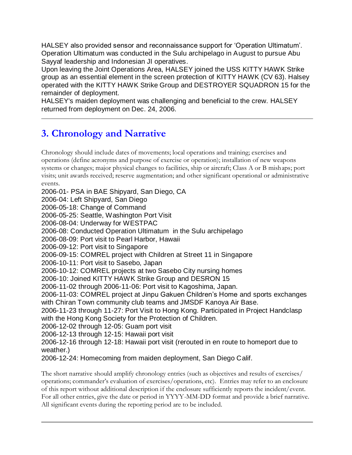HALSEY also provided sensor and reconnaissance support for 'Operation Ultimatum'. Operation Ultimatum was conducted in the Sulu archipelago in August to pursue Abu Sayyaf leadership and Indonesian JI operatives.

Upon leaving the Joint Operations Area, HALSEY joined the USS KITTY HAWK Strike group as an essential element in the screen protection of KITTY HAWK (CV 63). Halsey operated with the KITTY HAWK Strike Group and DESTROYER SQUADRON 15 for the remainder of deployment.

HALSEY's maiden deployment was challenging and beneficial to the crew. HALSEY returned from deployment on Dec. 24, 2006.

## **3. Chronology and Narrative**

Chronology should include dates of movements; local operations and training; exercises and operations (define acronyms and purpose of exercise or operation); installation of new weapons systems or changes; major physical changes to facilities, ship or aircraft; Class A or B mishaps; port visits; unit awards received; reserve augmentation; and other significant operational or administrative events.

2006-01- PSA in BAE Shipyard, San Diego, CA

2006-04: Left Shipyard, San Diego

2006-05-18: Change of Command

2006-05-25: Seattle, Washington Port Visit

2006-08-04: Underway for WESTPAC

2006-08: Conducted Operation Ultimatum in the Sulu archipelago

2006-08-09: Port visit to Pearl Harbor, Hawaii

2006-09-12: Port visit to Singapore

2006-09-15: COMREL project with Children at Street 11 in Singapore

2006-10-11: Port visit to Sasebo, Japan

2006-10-12: COMREL projects at two Sasebo City nursing homes

2006-10: Joined KITTY HAWK Strike Group and DESRON 15

2006-11-02 through 2006-11-06: Port visit to Kagoshima, Japan.

2006-11-03: COMREL project at Jinpu Gakuen Children's Home and sports exchanges with Chiran Town community club teams and JMSDF Kanoya Air Base.

2006-11-23 through 11-27: Port Visit to Hong Kong. Participated in Project Handclasp with the Hong Kong Society for the Protection of Children.

2006-12-02 through 12-05: Guam port visit

2006-12-13 through 12-15: Hawaii port visit

2006-12-16 through 12-18: Hawaii port visit (rerouted in en route to homeport due to weather.)

2006-12-24: Homecoming from maiden deployment, San Diego Calif.

The short narrative should amplify chronology entries (such as objectives and results of exercises/ operations; commander's evaluation of exercises/operations, etc). Entries may refer to an enclosure of this report without additional description if the enclosure sufficiently reports the incident/event. For all other entries, give the date or period in YYYY-MM-DD format and provide a brief narrative. All significant events during the reporting period are to be included.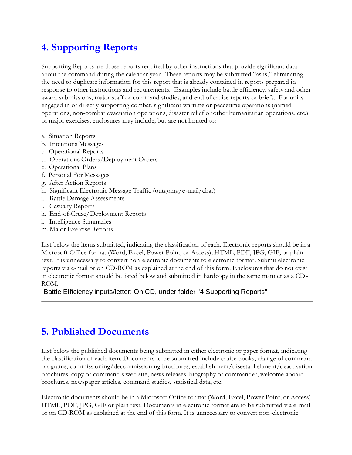## **4. Supporting Reports**

Supporting Reports are those reports required by other instructions that provide significant data about the command during the calendar year. These reports may be submitted "as is," eliminating the need to duplicate information for this report that is already contained in reports prepared in response to other instructions and requirements. Examples include battle efficiency, safety and other award submissions, major staff or command studies, and end of cruise reports or briefs. For units engaged in or directly supporting combat, significant wartime or peacetime operations (named operations, non-combat evacuation operations, disaster relief or other humanitarian operations, etc.) or major exercises, enclosures may include, but are not limited to:

- a. Situation Reports
- b. Intentions Messages
- c. Operational Reports
- d. Operations Orders/Deployment Orders
- e. Operational Plans
- f. Personal For Messages
- g. After Action Reports
- h. Significant Electronic Message Traffic (outgoing/e-mail/chat)
- i. Battle Damage Assessments
- j. Casualty Reports
- k. End-of-Cruse/Deployment Reports
- l. Intelligence Summaries
- m. Major Exercise Reports

List below the items submitted, indicating the classification of each. Electronic reports should be in a Microsoft Office format (Word, Excel, Power Point, or Access), HTML, PDF, JPG, GIF, or plain text. It is unnecessary to convert non-electronic documents to electronic format. Submit electronic reports via e-mail or on CD-ROM as explained at the end of this form. Enclosures that do not exist in electronic format should be listed below and submitted in hardcopy in the same manner as a CD-ROM.

-Battle Efficiency inputs/letter: On CD, under folder "4 Supporting Reports"

## **5. Published Documents**

List below the published documents being submitted in either electronic or paper format, indicating the classification of each item. Documents to be submitted include cruise books, change of command programs, commissioning/decommissioning brochures, establishment/disestablishment/deactivation brochures, copy of command's web site, news releases, biography of commander, welcome aboard brochures, newspaper articles, command studies, statistical data, etc.

Electronic documents should be in a Microsoft Office format (Word, Excel, Power Point, or Access), HTML, PDF, JPG, GIF or plain text. Documents in electronic format are to be submitted via e -mail or on CD-ROM as explained at the end of this form. It is unnecessary to convert non-electronic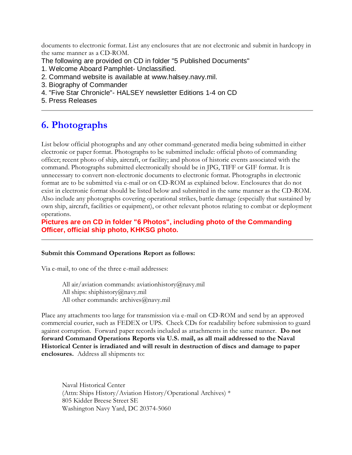documents to electronic format. List any enclosures that are not electronic and submit in hardcopy in the same manner as a CD-ROM.

The following are provided on CD in folder "5 Published Documents"

- 1. Welcome Aboard Pamphlet- Unclassified.
- 2. Command website is available at www.halsey.navy.mil.
- 3. Biography of Commander
- 4. "Five Star Chronicle"- HALSEY newsletter Editions 1-4 on CD
- 5. Press Releases

## **6. Photographs**

List below official photographs and any other command-generated media being submitted in either electronic or paper format. Photographs to be submitted include: official photo of commanding officer; recent photo of ship, aircraft, or facility; and photos of historic events associated with the command. Photographs submitted electronically should be in JPG, TIFF or GIF format. It is unnecessary to convert non-electronic documents to electronic format. Photographs in electronic format are to be submitted via e-mail or on CD-ROM as explained below. Enclosures that do not exist in electronic format should be listed below and submitted in the same manner as the CD-ROM. Also include any photographs covering operational strikes, battle damage (especially that sustained by own ship, aircraft, facilities or equipment), or other relevant photos relating to combat or deployment operations.

**Pictures are on CD in folder "6 Photos", including photo of the Commanding Officer, official ship photo, KHKSG photo.**

#### **Submit this Command Operations Report as follows:**

Via e-mail, to one of the three e-mail addresses:

All air/aviation commands: aviationhistory@navy.mil All ships: shiphistory@navy.mil All other commands: archives@navy.mil

Place any attachments too large for transmission via e-mail on CD-ROM and send by an approved commercial courier, such as FEDEX or UPS. Check CDs for readability before submission to guard against corruption. Forward paper records included as attachments in the same manner. **Do not forward Command Operations Reports via U.S. mail, as all mail addressed to the Naval Historical Center is irradiated and will result in destruction of discs and damage to paper enclosures.** Address all shipments to:

Naval Historical Center (Attn: Ships History/Aviation History/Operational Archives) \* 805 Kidder Breese Street SE Washington Navy Yard, DC 20374-5060